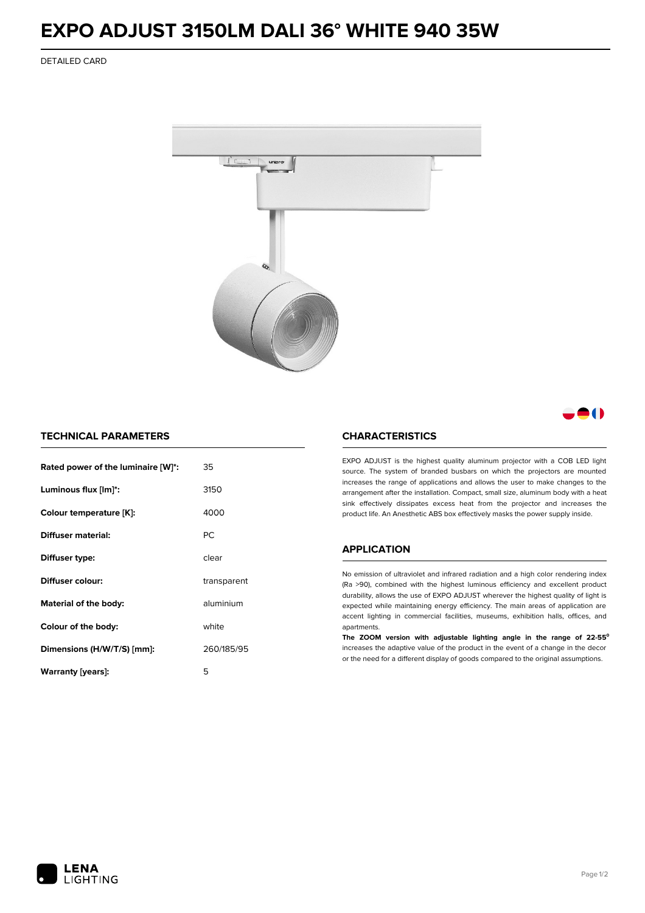## **EXPO ADJUST 3150LM DALI 36° WHITE 940 35W**

DETAILED CARD



### 8 ( )

#### **TECHNICAL PARAMETERS**

| Rated power of the luminaire [W]*: | 35          |  |
|------------------------------------|-------------|--|
| Luminous flux [lm]*:               | 3150        |  |
| Colour temperature [K]:            | 4000        |  |
| Diffuser material:                 | РC          |  |
| Diffuser type:                     | clear       |  |
| Diffuser colour:                   | transparent |  |
| aluminium<br>Material of the body: |             |  |
| Colour of the body:                | white       |  |
| Dimensions (H/W/T/S) [mm]:         | 260/185/95  |  |
| Warranty [years]:                  | 5           |  |

#### **CHARACTERISTICS**

EXPO ADJUST is the highest quality aluminum projector with a COB LED light source. The system of branded busbars on which the projectors are mounted increases the range of applications and allows the user to make changes to the arrangement after the installation. Compact, small size, aluminum body with a heat sink effectively dissipates excess heat from the projector and increases the product life. An Anesthetic ABS box effectively masks the power supply inside.

#### **APPLICATION**

No emission of ultraviolet and infrared radiation and a high color rendering index (Ra >90), combined with the highest luminous efficiency and excellent product durability, allows the use of EXPO ADJUST wherever the highest quality of light is expected while maintaining energy efficiency. The main areas of application are accent lighting in commercial facilities, museums, exhibition halls, offices, and apartments.

**The ZOOM version with adjustable lighting angle in the range of 22-55⁰** increases the adaptive value of the product in the event of a change in the decor or the need for a different display of goods compared to the original assumptions.